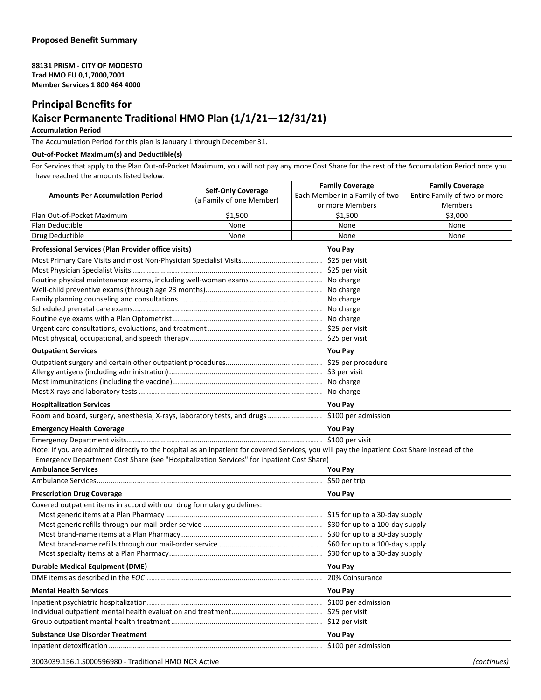**88131 PRISM - CITY OF MODESTO Trad HMO EU 0,1,7000,7001 Member Services 1 800 464 4000**

## **Principal Benefits for**

## **Kaiser Permanente Traditional HMO Plan (1/1/21—12/31/21)**

## **Accumulation Period**

The Accumulation Period for this plan is January 1 through December 31.

## **Out-of-Pocket Maximum(s) and Deductible(s)**

For Services that apply to the Plan Out-of-Pocket Maximum, you will not pay any more Cost Share for the rest of the Accumulation Period once you have reached the amounts listed below.

| lave reached the allioants listed belo                                                                                                        |                           |                                                          |                                                        |  |
|-----------------------------------------------------------------------------------------------------------------------------------------------|---------------------------|----------------------------------------------------------|--------------------------------------------------------|--|
| <b>Amounts Per Accumulation Period</b>                                                                                                        | <b>Self-Only Coverage</b> | <b>Family Coverage</b><br>Each Member in a Family of two | <b>Family Coverage</b><br>Entire Family of two or more |  |
|                                                                                                                                               | (a Family of one Member)  | or more Members                                          | <b>Members</b>                                         |  |
| Plan Out-of-Pocket Maximum                                                                                                                    | \$1,500                   | \$1,500                                                  | \$3,000                                                |  |
| Plan Deductible                                                                                                                               | None                      | None                                                     | None                                                   |  |
| Drug Deductible                                                                                                                               | None                      | None                                                     | None                                                   |  |
| <b>Professional Services (Plan Provider office visits)</b>                                                                                    |                           | You Pay                                                  |                                                        |  |
|                                                                                                                                               |                           |                                                          |                                                        |  |
|                                                                                                                                               |                           |                                                          |                                                        |  |
|                                                                                                                                               |                           |                                                          |                                                        |  |
|                                                                                                                                               |                           |                                                          |                                                        |  |
|                                                                                                                                               |                           |                                                          |                                                        |  |
|                                                                                                                                               |                           |                                                          |                                                        |  |
|                                                                                                                                               |                           |                                                          |                                                        |  |
|                                                                                                                                               |                           |                                                          |                                                        |  |
|                                                                                                                                               |                           |                                                          |                                                        |  |
| <b>Outpatient Services</b>                                                                                                                    | <b>You Pay</b>            |                                                          |                                                        |  |
|                                                                                                                                               |                           |                                                          |                                                        |  |
|                                                                                                                                               |                           |                                                          |                                                        |  |
|                                                                                                                                               |                           |                                                          |                                                        |  |
|                                                                                                                                               |                           |                                                          |                                                        |  |
| <b>Hospitalization Services</b>                                                                                                               |                           | <b>You Pay</b>                                           |                                                        |  |
|                                                                                                                                               |                           |                                                          |                                                        |  |
| <b>Emergency Health Coverage</b>                                                                                                              |                           | <b>You Pay</b>                                           |                                                        |  |
|                                                                                                                                               |                           |                                                          |                                                        |  |
| Note: If you are admitted directly to the hospital as an inpatient for covered Services, you will pay the inpatient Cost Share instead of the |                           |                                                          |                                                        |  |
| Emergency Department Cost Share (see "Hospitalization Services" for inpatient Cost Share)                                                     |                           |                                                          |                                                        |  |
| <b>Ambulance Services</b>                                                                                                                     |                           | <b>You Pay</b>                                           |                                                        |  |
|                                                                                                                                               |                           | \$50 per trip                                            |                                                        |  |
| <b>Prescription Drug Coverage</b>                                                                                                             |                           | <b>You Pay</b>                                           |                                                        |  |
| Covered outpatient items in accord with our drug formulary guidelines:                                                                        |                           |                                                          |                                                        |  |
|                                                                                                                                               |                           |                                                          |                                                        |  |
|                                                                                                                                               |                           |                                                          |                                                        |  |
|                                                                                                                                               |                           |                                                          |                                                        |  |
|                                                                                                                                               |                           |                                                          |                                                        |  |
|                                                                                                                                               |                           |                                                          |                                                        |  |
| <b>Durable Medical Equipment (DME)</b>                                                                                                        |                           | <b>You Pay</b>                                           |                                                        |  |
|                                                                                                                                               |                           |                                                          |                                                        |  |
| <b>Mental Health Services</b>                                                                                                                 |                           | <b>You Pay</b>                                           |                                                        |  |
|                                                                                                                                               |                           | \$100 per admission                                      |                                                        |  |
|                                                                                                                                               |                           |                                                          |                                                        |  |
|                                                                                                                                               |                           |                                                          |                                                        |  |
| <b>Substance Use Disorder Treatment</b>                                                                                                       |                           | You Pay                                                  |                                                        |  |
|                                                                                                                                               |                           | \$100 per admission                                      |                                                        |  |
| 3003039.156.1.S000596980 - Traditional HMO NCR Active                                                                                         |                           |                                                          | (continues)                                            |  |